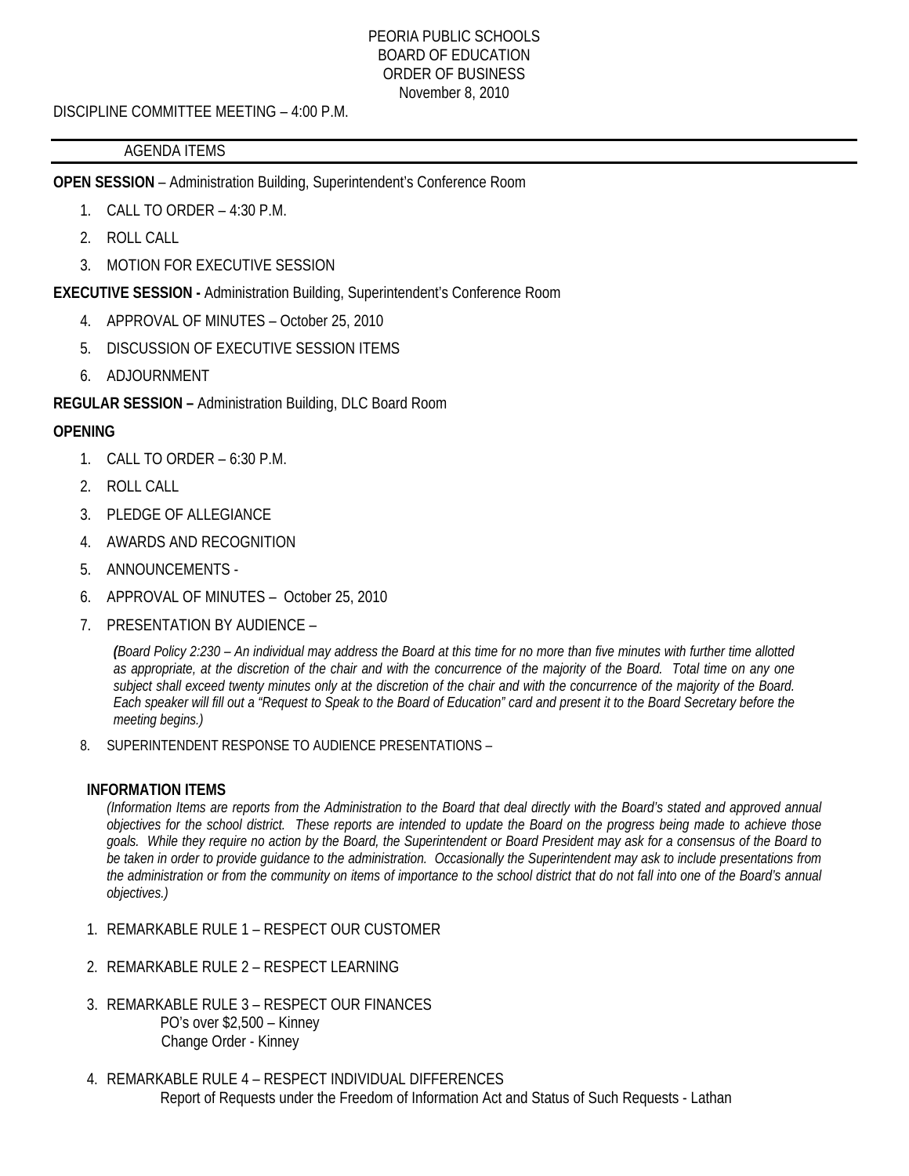#### PEORIA PUBLIC SCHOOLS BOARD OF EDUCATION ORDER OF BUSINESS November 8, 2010

DISCIPLINE COMMITTEE MEETING – 4:00 P.M.

#### AGENDA ITEMS

**OPEN SESSION** – Administration Building, Superintendent's Conference Room

- 1. CALL TO ORDER 4:30 P.M.
- 2. ROLL CALL
- 3. MOTION FOR EXECUTIVE SESSION

**EXECUTIVE SESSION -** Administration Building, Superintendent's Conference Room

- 4. APPROVAL OF MINUTES October 25, 2010
- 5. DISCUSSION OF EXECUTIVE SESSION ITEMS
- 6. ADJOURNMENT

**REGULAR SESSION –** Administration Building, DLC Board Room

## **OPENING**

- 1. CALL TO ORDER 6:30 P.M.
- 2. ROLL CALL
- 3. PLEDGE OF ALLEGIANCE
- 4. AWARDS AND RECOGNITION
- 5. ANNOUNCEMENTS -
- 6. APPROVAL OF MINUTES October 25, 2010
- 7. PRESENTATION BY AUDIENCE –

*(Board Policy 2:230 – An individual may address the Board at this time for no more than five minutes with further time allotted as appropriate, at the discretion of the chair and with the concurrence of the majority of the Board. Total time on any one subject shall exceed twenty minutes only at the discretion of the chair and with the concurrence of the majority of the Board. Each speaker will fill out a "Request to Speak to the Board of Education" card and present it to the Board Secretary before the meeting begins.)* 

8. SUPERINTENDENT RESPONSE TO AUDIENCE PRESENTATIONS –

#### **INFORMATION ITEMS**

*(Information Items are reports from the Administration to the Board that deal directly with the Board's stated and approved annual objectives for the school district. These reports are intended to update the Board on the progress being made to achieve those goals. While they require no action by the Board, the Superintendent or Board President may ask for a consensus of the Board to be taken in order to provide guidance to the administration. Occasionally the Superintendent may ask to include presentations from the administration or from the community on items of importance to the school district that do not fall into one of the Board's annual objectives.)* 

- 1. REMARKABLE RULE 1 RESPECT OUR CUSTOMER
- 2. REMARKABLE RULE 2 RESPECT LEARNING
- 3. REMARKABLE RULE 3 RESPECT OUR FINANCES PO's over \$2,500 – Kinney Change Order - Kinney
- 4. REMARKABLE RULE 4 RESPECT INDIVIDUAL DIFFERENCES Report of Requests under the Freedom of Information Act and Status of Such Requests - Lathan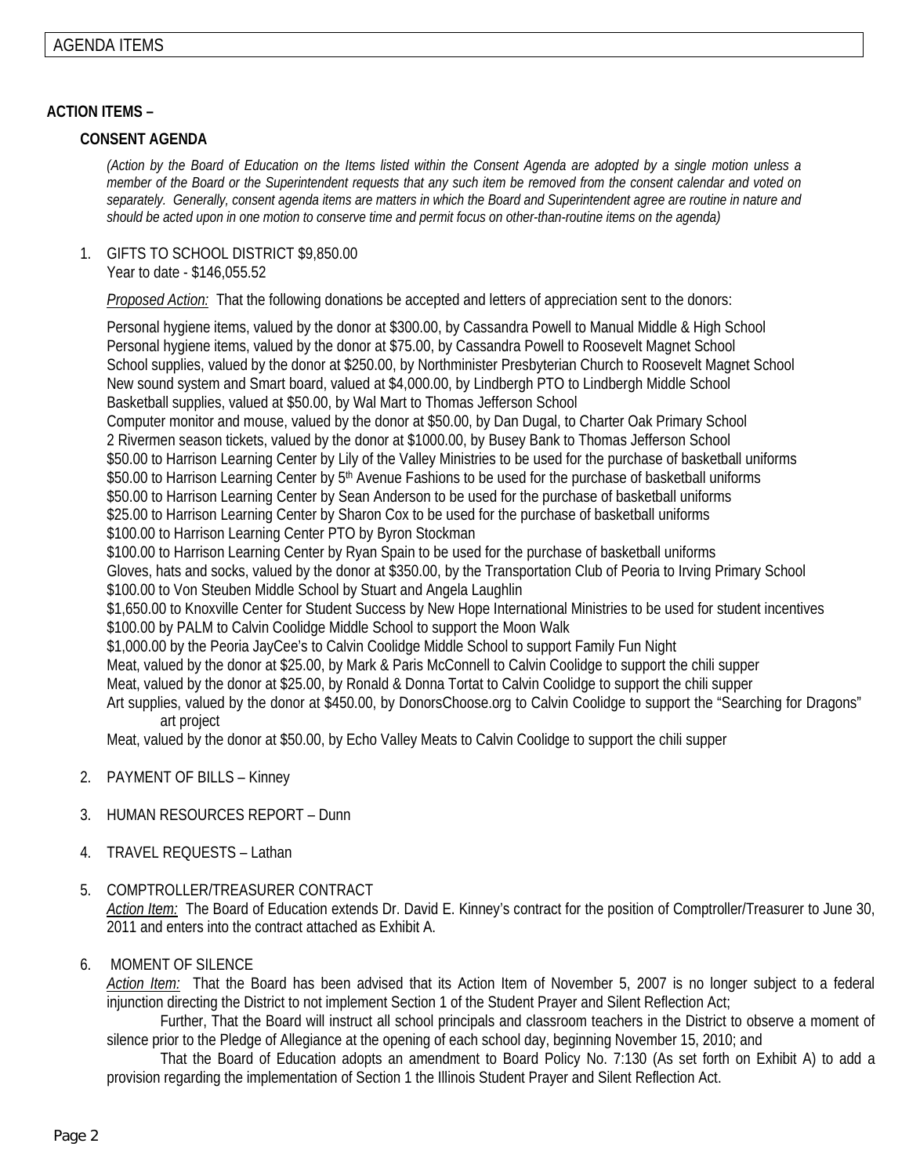### **ACTION ITEMS –**

# **CONSENT AGENDA**

*(Action by the Board of Education on the Items listed within the Consent Agenda are adopted by a single motion unless a member of the Board or the Superintendent requests that any such item be removed from the consent calendar and voted on separately. Generally, consent agenda items are matters in which the Board and Superintendent agree are routine in nature and should be acted upon in one motion to conserve time and permit focus on other-than-routine items on the agenda)* 

1. GIFTS TO SCHOOL DISTRICT \$9,850.00 Year to date - \$146,055.52

*Proposed Action:* That the following donations be accepted and letters of appreciation sent to the donors:

Personal hygiene items, valued by the donor at \$300.00, by Cassandra Powell to Manual Middle & High School Personal hygiene items, valued by the donor at \$75.00, by Cassandra Powell to Roosevelt Magnet School School supplies, valued by the donor at \$250.00, by Northminister Presbyterian Church to Roosevelt Magnet School New sound system and Smart board, valued at \$4,000.00, by Lindbergh PTO to Lindbergh Middle School Basketball supplies, valued at \$50.00, by Wal Mart to Thomas Jefferson School Computer monitor and mouse, valued by the donor at \$50.00, by Dan Dugal, to Charter Oak Primary School 2 Rivermen season tickets, valued by the donor at \$1000.00, by Busey Bank to Thomas Jefferson School \$50.00 to Harrison Learning Center by Lily of the Valley Ministries to be used for the purchase of basketball uniforms \$50.00 to Harrison Learning Center by 5<sup>th</sup> Avenue Fashions to be used for the purchase of basketball uniforms \$50.00 to Harrison Learning Center by Sean Anderson to be used for the purchase of basketball uniforms \$25.00 to Harrison Learning Center by Sharon Cox to be used for the purchase of basketball uniforms \$100.00 to Harrison Learning Center PTO by Byron Stockman \$100.00 to Harrison Learning Center by Ryan Spain to be used for the purchase of basketball uniforms Gloves, hats and socks, valued by the donor at \$350.00, by the Transportation Club of Peoria to Irving Primary School \$100.00 to Von Steuben Middle School by Stuart and Angela Laughlin \$1,650.00 to Knoxville Center for Student Success by New Hope International Ministries to be used for student incentives \$100.00 by PALM to Calvin Coolidge Middle School to support the Moon Walk \$1,000.00 by the Peoria JayCee's to Calvin Coolidge Middle School to support Family Fun Night Meat, valued by the donor at \$25.00, by Mark & Paris McConnell to Calvin Coolidge to support the chili supper Meat, valued by the donor at \$25.00, by Ronald & Donna Tortat to Calvin Coolidge to support the chili supper Art supplies, valued by the donor at \$450.00, by DonorsChoose.org to Calvin Coolidge to support the "Searching for Dragons" art project

Meat, valued by the donor at \$50.00, by Echo Valley Meats to Calvin Coolidge to support the chili supper

- 2. PAYMENT OF BILLS Kinney
- 3. HUMAN RESOURCES REPORT Dunn
- 4. TRAVEL REQUESTS Lathan

#### 5. COMPTROLLER/TREASURER CONTRACT

*Action Item:* The Board of Education extends Dr. David E. Kinney's contract for the position of Comptroller/Treasurer to June 30, 2011 and enters into the contract attached as Exhibit A.

#### 6. MOMENT OF SILENCE

*Action Item:* That the Board has been advised that its Action Item of November 5, 2007 is no longer subject to a federal injunction directing the District to not implement Section 1 of the Student Prayer and Silent Reflection Act;

 Further, That the Board will instruct all school principals and classroom teachers in the District to observe a moment of silence prior to the Pledge of Allegiance at the opening of each school day, beginning November 15, 2010; and

 That the Board of Education adopts an amendment to Board Policy No. 7:130 (As set forth on Exhibit A) to add a provision regarding the implementation of Section 1 the Illinois Student Prayer and Silent Reflection Act.